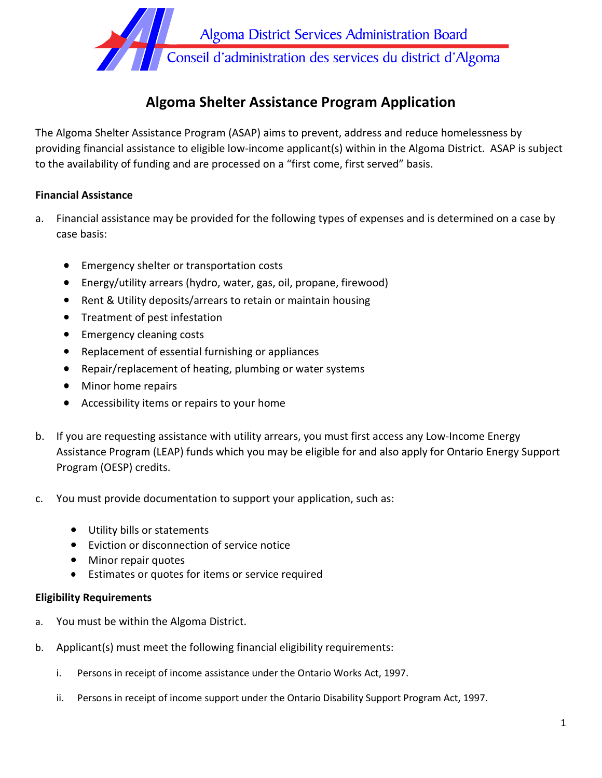

# **Algoma Shelter Assistance Program Application**

The Algoma Shelter Assistance Program (ASAP) aims to prevent, address and reduce homelessness by providing financial assistance to eligible low-income applicant(s) within in the Algoma District. ASAP is subject to the availability of funding and are processed on a "first come, first served" basis.

### **Financial Assistance**

- a. Financial assistance may be provided for the following types of expenses and is determined on a case by case basis:
	- Emergency shelter or transportation costs
	- Energy/utility arrears (hydro, water, gas, oil, propane, firewood)
	- Rent & Utility deposits/arrears to retain or maintain housing
	- Treatment of pest infestation
	- Emergency cleaning costs
	- Replacement of essential furnishing or appliances
	- Repair/replacement of heating, plumbing or water systems
	- Minor home repairs
	- Accessibility items or repairs to your home
- b. If you are requesting assistance with utility arrears, you must first access any Low-Income Energy Assistance Program (LEAP) funds which you may be eligible for and also apply for Ontario Energy Support Program (OESP) credits.
- c. You must provide documentation to support your application, such as:
	- Utility bills or statements
	- Eviction or disconnection of service notice
	- Minor repair quotes
	- Estimates or quotes for items or service required

#### **Eligibility Requirements**

- a. You must be within the Algoma District.
- b. Applicant(s) must meet the following financial eligibility requirements:
	- i. Persons in receipt of income assistance under the Ontario Works Act, 1997.
	- ii. Persons in receipt of income support under the Ontario Disability Support Program Act, 1997.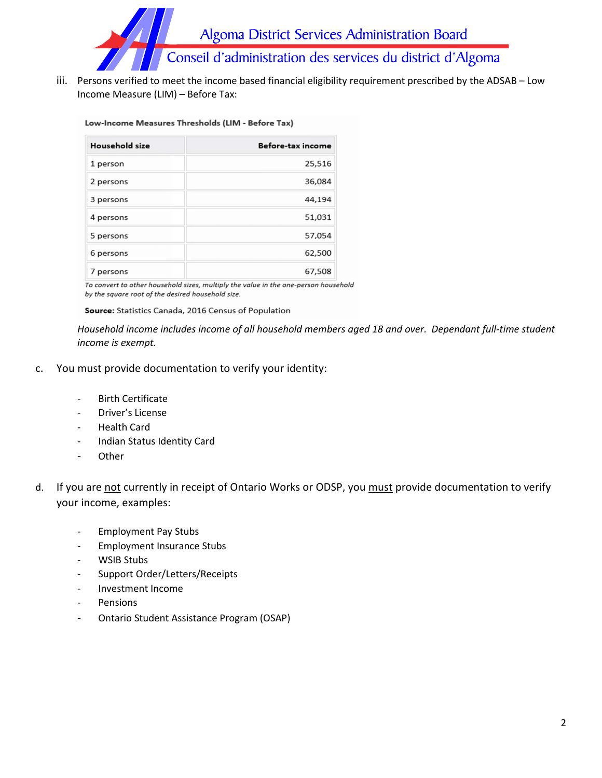

iii. Persons verified to meet the income based financial eligibility requirement prescribed by the ADSAB – Low Income Measure (LIM) – Before Tax:

#### Low-Income Measures Thresholds (LIM - Before Tax)

| <b>Household size</b> | Before-tax income |
|-----------------------|-------------------|
| 1 person              | 25,516            |
| 2 persons             | 36,084            |
| 3 persons             | 44,194            |
| 4 persons             | 51,031            |
| 5 persons             | 57,054            |
| 6 persons             | 62,500            |
| 7 persons             | 67,508            |

To convert to other household sizes, multiply the value in the one-person household by the square root of the desired household size.

Source: Statistics Canada, 2016 Census of Population

*Household income includes income of all household members aged 18 and over. Dependant full-time student income is exempt.*

- c. You must provide documentation to verify your identity:
	- Birth Certificate
	- Driver's License
	- Health Card
	- Indian Status Identity Card
	- Other
- d. If you are not currently in receipt of Ontario Works or ODSP, you must provide documentation to verify your income, examples:
	- Employment Pay Stubs
	- Employment Insurance Stubs
	- WSIB Stubs
	- Support Order/Letters/Receipts
	- Investment Income
	- **Pensions**
	- Ontario Student Assistance Program (OSAP)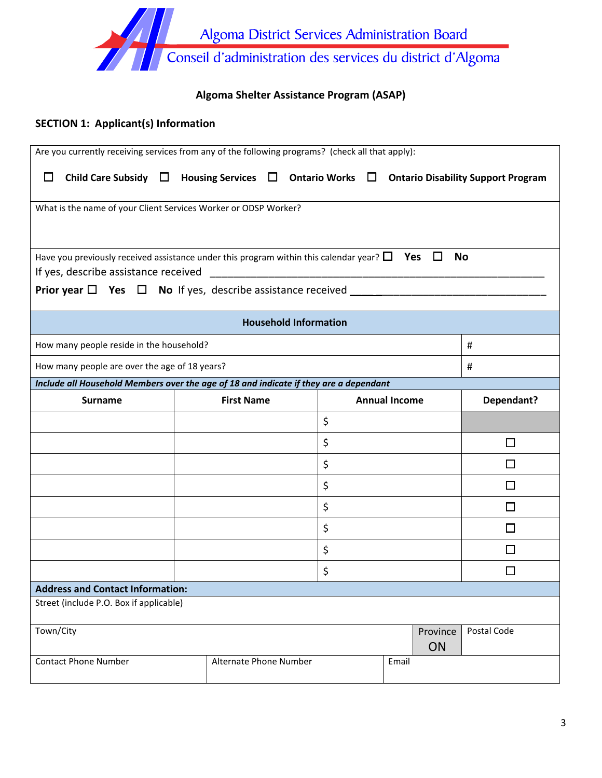

# **Algoma Shelter Assistance Program (ASAP)**

### **SECTION 1: Applicant(s) Information**

|           | Are you currently receiving services from any of the following programs? (check all that apply):          |                        |                              |    |                      |                |             |
|-----------|-----------------------------------------------------------------------------------------------------------|------------------------|------------------------------|----|----------------------|----------------|-------------|
| $\Box$    | Child Care Subsidy $\Box$ Housing Services $\Box$ Ontario Works $\Box$ Ontario Disability Support Program |                        |                              |    |                      |                |             |
|           | What is the name of your Client Services Worker or ODSP Worker?                                           |                        |                              |    |                      |                |             |
|           |                                                                                                           |                        |                              |    |                      |                |             |
|           | Have you previously received assistance under this program within this calendar year? $\Box$ Yes $\Box$   |                        |                              |    |                      | <b>No</b>      |             |
|           |                                                                                                           |                        |                              |    |                      |                |             |
|           |                                                                                                           |                        | <b>Household Information</b> |    |                      |                |             |
|           | How many people reside in the household?                                                                  |                        |                              |    |                      |                | #           |
|           | How many people are over the age of 18 years?                                                             |                        |                              |    |                      |                | #           |
|           | Include all Household Members over the age of 18 and indicate if they are a dependant                     |                        |                              |    |                      |                |             |
|           | <b>Surname</b>                                                                                            | <b>First Name</b>      |                              |    | <b>Annual Income</b> |                | Dependant?  |
|           |                                                                                                           |                        |                              |    |                      |                |             |
|           |                                                                                                           |                        |                              | \$ |                      |                |             |
|           |                                                                                                           |                        |                              | \$ |                      |                | l 1         |
|           |                                                                                                           |                        |                              | \$ |                      |                |             |
|           |                                                                                                           |                        |                              | \$ |                      |                | $\Box$      |
|           |                                                                                                           |                        |                              | \$ |                      |                | П           |
|           |                                                                                                           |                        |                              | \$ |                      |                | П           |
|           |                                                                                                           |                        |                              | \$ |                      |                |             |
|           |                                                                                                           |                        |                              | \$ |                      |                |             |
|           | <b>Address and Contact Information:</b>                                                                   |                        |                              |    |                      |                |             |
|           | Street (include P.O. Box if applicable)                                                                   |                        |                              |    |                      |                |             |
| Town/City | <b>Contact Phone Number</b>                                                                               | Alternate Phone Number |                              |    |                      | Province<br>ON | Postal Code |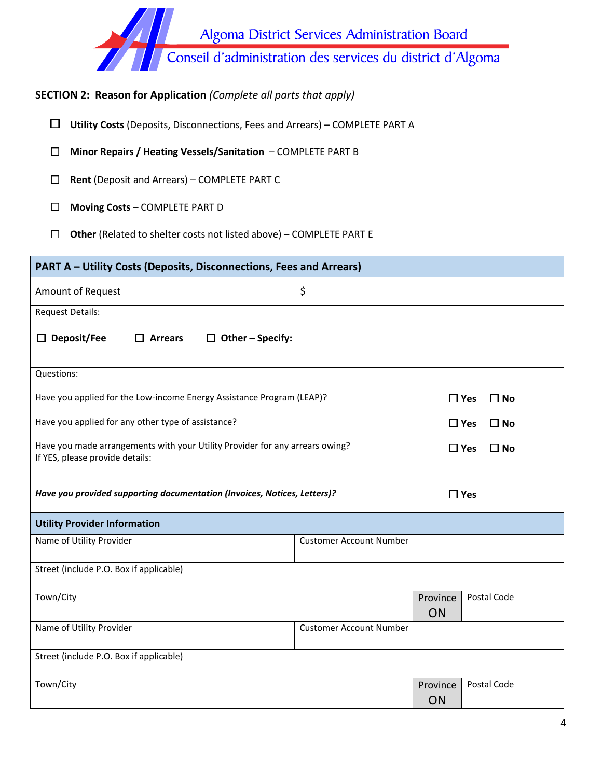Algoma District Services Administration Board<br>Conseil d'administration des services du district d'Algoma

# **SECTION 2: Reason for Application** *(Complete all parts that apply)*

☐ **Utility Costs** (Deposits, Disconnections, Fees and Arrears) – COMPLETE PART A

☐ **Minor Repairs / Heating Vessels/Sanitation** – COMPLETE PART B

☐ **Rent** (Deposit and Arrears) – COMPLETE PART C

☐ **Moving Costs** – COMPLETE PART D

☐ **Other** (Related to shelter costs not listed above) – COMPLETE PART E

| PART A - Utility Costs (Deposits, Disconnections, Fees and Arrears)                                             |                                |                |                            |
|-----------------------------------------------------------------------------------------------------------------|--------------------------------|----------------|----------------------------|
| Amount of Request                                                                                               | \$                             |                |                            |
| <b>Request Details:</b>                                                                                         |                                |                |                            |
| $\Box$ Deposit/Fee<br>$\Box$ Arrears<br>$\Box$ Other – Specify:                                                 |                                |                |                            |
| Questions:                                                                                                      |                                |                |                            |
| Have you applied for the Low-income Energy Assistance Program (LEAP)?                                           |                                |                | $\Box$ Yes<br>$\Box$ No    |
| Have you applied for any other type of assistance?                                                              |                                |                | $\Box$ Yes<br>$\square$ No |
| Have you made arrangements with your Utility Provider for any arrears owing?<br>If YES, please provide details: |                                |                | $\square$ Yes<br>$\Box$ No |
| Have you provided supporting documentation (Invoices, Notices, Letters)?                                        |                                |                | $\Box$ Yes                 |
| <b>Utility Provider Information</b>                                                                             |                                |                |                            |
| Name of Utility Provider                                                                                        | <b>Customer Account Number</b> |                |                            |
| Street (include P.O. Box if applicable)                                                                         |                                |                |                            |
| Town/City                                                                                                       |                                | Province<br>ON | Postal Code                |
| Name of Utility Provider                                                                                        | <b>Customer Account Number</b> |                |                            |
| Street (include P.O. Box if applicable)                                                                         |                                |                |                            |
| Town/City                                                                                                       |                                | Province<br>ON | Postal Code                |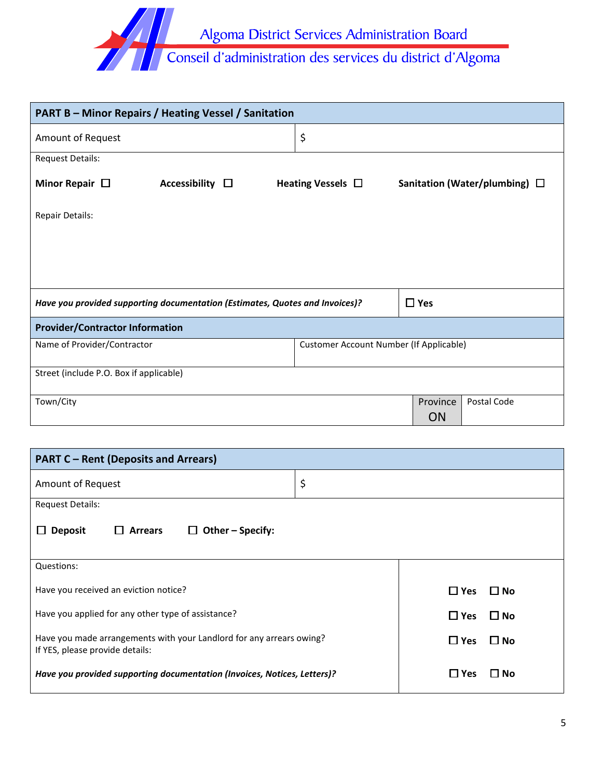

| <b>PART B - Minor Repairs / Heating Vessel / Sanitation</b>                  |                         |                                                |            |                                    |
|------------------------------------------------------------------------------|-------------------------|------------------------------------------------|------------|------------------------------------|
| Amount of Request                                                            |                         | \$                                             |            |                                    |
| <b>Request Details:</b>                                                      |                         |                                                |            |                                    |
| Minor Repair $\Box$                                                          | Accessibility $\square$ | Heating Vessels $\Box$                         |            | Sanitation (Water/plumbing) $\Box$ |
| <b>Repair Details:</b>                                                       |                         |                                                |            |                                    |
|                                                                              |                         |                                                |            |                                    |
|                                                                              |                         |                                                |            |                                    |
|                                                                              |                         |                                                |            |                                    |
| Have you provided supporting documentation (Estimates, Quotes and Invoices)? |                         |                                                | $\Box$ Yes |                                    |
| <b>Provider/Contractor Information</b>                                       |                         |                                                |            |                                    |
| Name of Provider/Contractor                                                  |                         | <b>Customer Account Number (If Applicable)</b> |            |                                    |
| Street (include P.O. Box if applicable)                                      |                         |                                                |            |                                    |
| Town/City                                                                    |                         |                                                | Province   | Postal Code                        |
|                                                                              |                         |                                                | <b>ON</b>  |                                    |

| <b>PART C - Rent (Deposits and Arrears)</b>                                                             |                         |
|---------------------------------------------------------------------------------------------------------|-------------------------|
| Amount of Request                                                                                       | \$                      |
| <b>Request Details:</b>                                                                                 |                         |
| $\Box$ Other – Specify:<br>$\Box$ Arrears<br>$\Box$ Deposit                                             |                         |
| Questions:                                                                                              |                         |
| Have you received an eviction notice?                                                                   | $\Box$ Yes<br>$\Box$ No |
| Have you applied for any other type of assistance?                                                      | $\Box$ Yes<br>$\Box$ No |
| Have you made arrangements with your Landlord for any arrears owing?<br>If YES, please provide details: | $\Box$ Yes<br>$\Box$ No |
| Have you provided supporting documentation (Invoices, Notices, Letters)?                                | $\Box$ Yes<br>l I No    |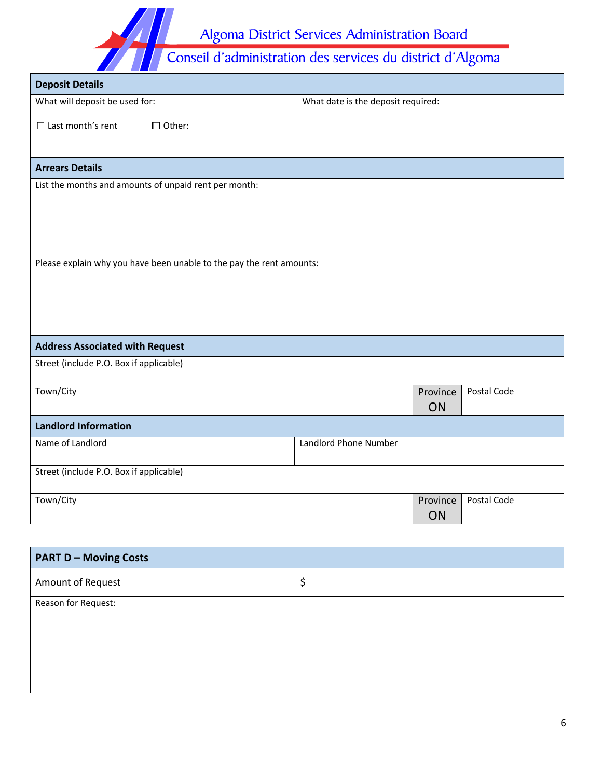Algoma District Services Administration Board<br>Conseil d'administration des services du district d'Algoma

| What will deposit be used for:                                       | What date is the deposit required: |          |             |
|----------------------------------------------------------------------|------------------------------------|----------|-------------|
| $\Box$ Last month's rent<br>$\Box$ Other:                            |                                    |          |             |
|                                                                      |                                    |          |             |
| <b>Arrears Details</b>                                               |                                    |          |             |
| List the months and amounts of unpaid rent per month:                |                                    |          |             |
|                                                                      |                                    |          |             |
|                                                                      |                                    |          |             |
|                                                                      |                                    |          |             |
| Please explain why you have been unable to the pay the rent amounts: |                                    |          |             |
|                                                                      |                                    |          |             |
|                                                                      |                                    |          |             |
|                                                                      |                                    |          |             |
| <b>Address Associated with Request</b>                               |                                    |          |             |
| Street (include P.O. Box if applicable)                              |                                    |          |             |
| Town/City                                                            |                                    | Province | Postal Code |
|                                                                      |                                    | ON       |             |
| <b>Landlord Information</b>                                          |                                    |          |             |
| Name of Landlord                                                     | Landlord Phone Number              |          |             |
| Street (include P.O. Box if applicable)                              |                                    |          |             |
| Town/City                                                            |                                    | Province | Postal Code |
|                                                                      |                                    | ON       |             |

| <b>PART D - Moving Costs</b> |    |
|------------------------------|----|
| Amount of Request            | \$ |
| Reason for Request:          |    |
|                              |    |
|                              |    |
|                              |    |
|                              |    |
|                              |    |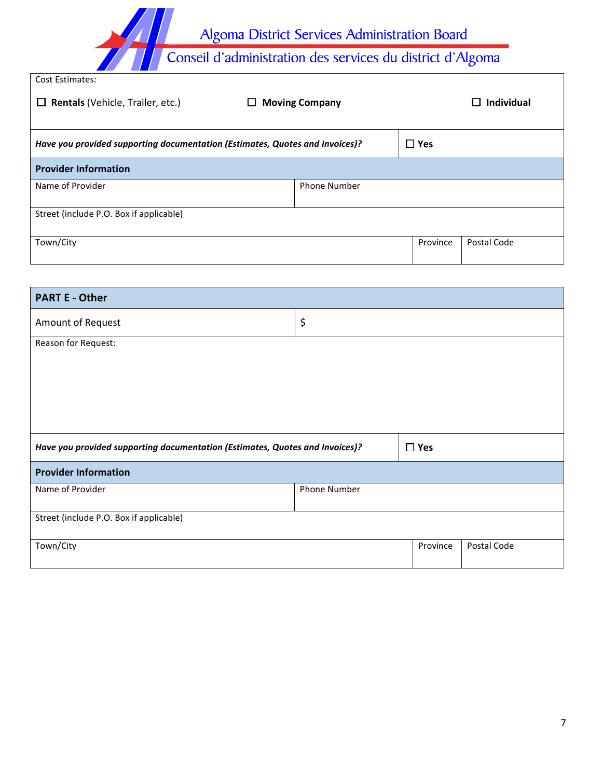Algoma District Services Administration Board<br>Conseil d'administration des services du district d'Algoma

| <b>Cost Estimates:</b>                                                       |                       |            |                   |
|------------------------------------------------------------------------------|-----------------------|------------|-------------------|
| <b>Rentals (Vehicle, Trailer, etc.)</b><br>⊔                                 | <b>Moving Company</b> |            | <b>Individual</b> |
|                                                                              |                       |            |                   |
| Have you provided supporting documentation (Estimates, Quotes and Invoices)? |                       | $\Box$ Yes |                   |
| <b>Provider Information</b>                                                  |                       |            |                   |
| Name of Provider                                                             | <b>Phone Number</b>   |            |                   |
| Street (include P.O. Box if applicable)                                      |                       |            |                   |
| Town/City                                                                    |                       | Province   | Postal Code       |

| Postal Code |
|-------------|
|             |